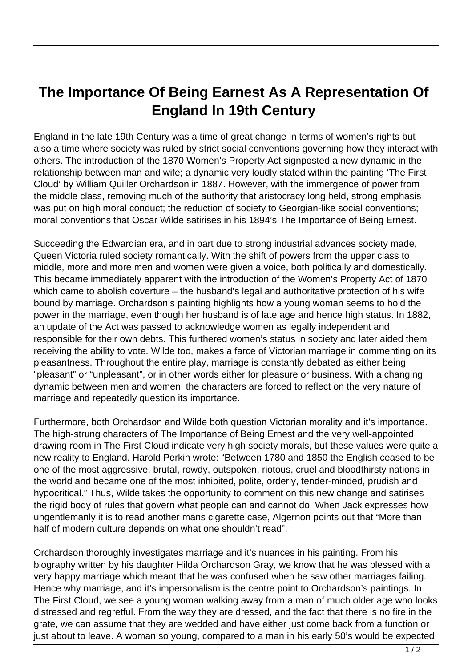## **The Importance Of Being Earnest As A Representation Of England In 19th Century**

England in the late 19th Century was a time of great change in terms of women's rights but also a time where society was ruled by strict social conventions governing how they interact with others. The introduction of the 1870 Women's Property Act signposted a new dynamic in the relationship between man and wife; a dynamic very loudly stated within the painting 'The First Cloud' by William Quiller Orchardson in 1887. However, with the immergence of power from the middle class, removing much of the authority that aristocracy long held, strong emphasis was put on high moral conduct; the reduction of society to Georgian-like social conventions; moral conventions that Oscar Wilde satirises in his 1894's The Importance of Being Ernest.

Succeeding the Edwardian era, and in part due to strong industrial advances society made, Queen Victoria ruled society romantically. With the shift of powers from the upper class to middle, more and more men and women were given a voice, both politically and domestically. This became immediately apparent with the introduction of the Women's Property Act of 1870 which came to abolish coverture – the husband's legal and authoritative protection of his wife bound by marriage. Orchardson's painting highlights how a young woman seems to hold the power in the marriage, even though her husband is of late age and hence high status. In 1882, an update of the Act was passed to acknowledge women as legally independent and responsible for their own debts. This furthered women's status in society and later aided them receiving the ability to vote. Wilde too, makes a farce of Victorian marriage in commenting on its pleasantness. Throughout the entire play, marriage is constantly debated as either being "pleasant" or "unpleasant", or in other words either for pleasure or business. With a changing dynamic between men and women, the characters are forced to reflect on the very nature of marriage and repeatedly question its importance.

Furthermore, both Orchardson and Wilde both question Victorian morality and it's importance. The high-strung characters of The Importance of Being Ernest and the very well-appointed drawing room in The First Cloud indicate very high society morals, but these values were quite a new reality to England. Harold Perkin wrote: "Between 1780 and 1850 the English ceased to be one of the most aggressive, brutal, rowdy, outspoken, riotous, cruel and bloodthirsty nations in the world and became one of the most inhibited, polite, orderly, tender-minded, prudish and hypocritical." Thus, Wilde takes the opportunity to comment on this new change and satirises the rigid body of rules that govern what people can and cannot do. When Jack expresses how ungentlemanly it is to read another mans cigarette case, Algernon points out that "More than half of modern culture depends on what one shouldn't read".

Orchardson thoroughly investigates marriage and it's nuances in his painting. From his biography written by his daughter Hilda Orchardson Gray, we know that he was blessed with a very happy marriage which meant that he was confused when he saw other marriages failing. Hence why marriage, and it's impersonalism is the centre point to Orchardson's paintings. In The First Cloud, we see a young woman walking away from a man of much older age who looks distressed and regretful. From the way they are dressed, and the fact that there is no fire in the grate, we can assume that they are wedded and have either just come back from a function or just about to leave. A woman so young, compared to a man in his early 50's would be expected